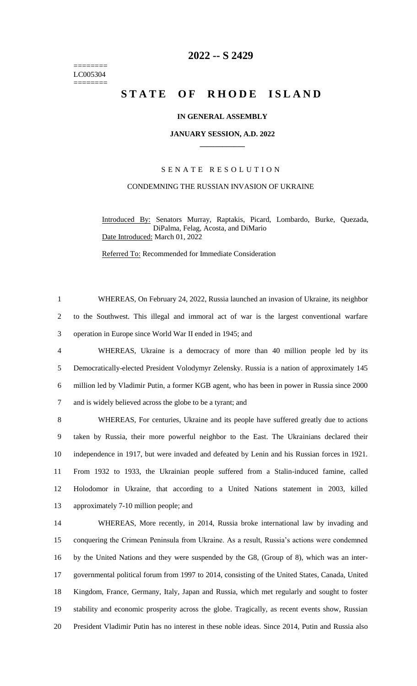======== LC005304 ========

# **-- S 2429**

# **STATE OF RHODE ISLAND**

# **IN GENERAL ASSEMBLY**

#### **JANUARY SESSION, A.D. 2022 \_\_\_\_\_\_\_\_\_\_\_\_**

## S E N A T E R E S O L U T I O N

## CONDEMNING THE RUSSIAN INVASION OF UKRAINE

Introduced By: Senators Murray, Raptakis, Picard, Lombardo, Burke, Quezada, DiPalma, Felag, Acosta, and DiMario Date Introduced: March 01, 2022

Referred To: Recommended for Immediate Consideration

 WHEREAS, On February 24, 2022, Russia launched an invasion of Ukraine, its neighbor to the Southwest. This illegal and immoral act of war is the largest conventional warfare operation in Europe since World War II ended in 1945; and

 WHEREAS, Ukraine is a democracy of more than 40 million people led by its Democratically-elected President Volodymyr Zelensky. Russia is a nation of approximately 145 million led by Vladimir Putin, a former KGB agent, who has been in power in Russia since 2000 and is widely believed across the globe to be a tyrant; and

 WHEREAS, For centuries, Ukraine and its people have suffered greatly due to actions taken by Russia, their more powerful neighbor to the East. The Ukrainians declared their independence in 1917, but were invaded and defeated by Lenin and his Russian forces in 1921. From 1932 to 1933, the Ukrainian people suffered from a Stalin-induced famine, called Holodomor in Ukraine, that according to a United Nations statement in 2003, killed approximately 7-10 million people; and

 WHEREAS, More recently, in 2014, Russia broke international law by invading and conquering the Crimean Peninsula from Ukraine. As a result, Russia's actions were condemned by the United Nations and they were suspended by the G8, (Group of 8), which was an inter- governmental political forum from 1997 to 2014, consisting of the United States, Canada, United Kingdom, France, Germany, Italy, Japan and Russia, which met regularly and sought to foster stability and economic prosperity across the globe. Tragically, as recent events show, Russian President Vladimir Putin has no interest in these noble ideas. Since 2014, Putin and Russia also